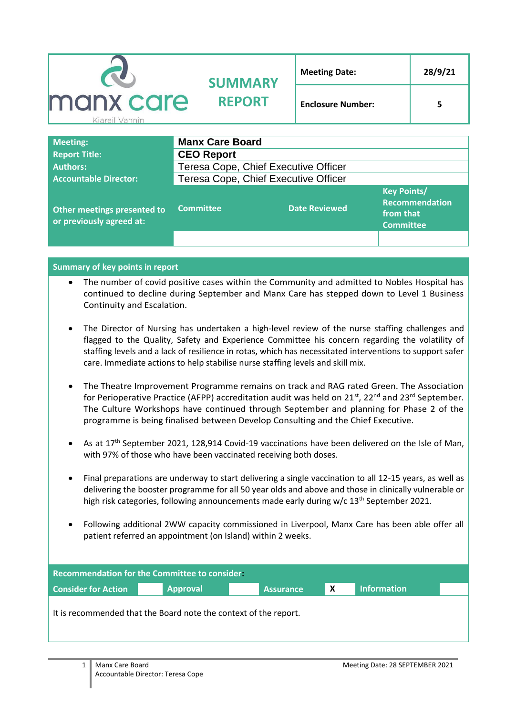| <b>CO</b>                   | <b>SUMMARY</b>         | <b>Meeting Date:</b>     | 28/9/21 |
|-----------------------------|------------------------|--------------------------|---------|
| manx care<br>Kiarail Vannin | <b>REPORT</b>          | <b>Enclosure Number:</b> |         |
| <b>Meeting:</b>             | <b>Manx Care Board</b> |                          |         |

| <b>Report Title:</b>                                    | <b>CEO Report</b>                    |                      |                                                                       |  |
|---------------------------------------------------------|--------------------------------------|----------------------|-----------------------------------------------------------------------|--|
| <b>Authors:</b>                                         | Teresa Cope, Chief Executive Officer |                      |                                                                       |  |
| <b>Accountable Director:</b>                            | Teresa Cope, Chief Executive Officer |                      |                                                                       |  |
| Other meetings presented to<br>or previously agreed at: | <b>Committee</b>                     | <b>Date Reviewed</b> | <b>Key Points/</b><br>Recommendation<br>from that<br><b>Committee</b> |  |
|                                                         |                                      |                      |                                                                       |  |

**Summary of key points in report**

- The number of covid positive cases within the Community and admitted to Nobles Hospital has continued to decline during September and Manx Care has stepped down to Level 1 Business Continuity and Escalation.
- The Director of Nursing has undertaken a high-level review of the nurse staffing challenges and flagged to the Quality, Safety and Experience Committee his concern regarding the volatility of staffing levels and a lack of resilience in rotas, which has necessitated interventions to support safer care. Immediate actions to help stabilise nurse staffing levels and skill mix.
- The Theatre Improvement Programme remains on track and RAG rated Green. The Association for Perioperative Practice (AFPP) accreditation audit was held on  $21^{st}$ ,  $22^{nd}$  and  $23^{rd}$  September. The Culture Workshops have continued through September and planning for Phase 2 of the programme is being finalised between Develop Consulting and the Chief Executive.
- As at 17<sup>th</sup> September 2021, 128,914 Covid-19 vaccinations have been delivered on the Isle of Man. with 97% of those who have been vaccinated receiving both doses.
- Final preparations are underway to start delivering a single vaccination to all 12-15 years, as well as delivering the booster programme for all 50 year olds and above and those in clinically vulnerable or high risk categories, following announcements made early during  $w/c 13<sup>th</sup>$  September 2021.
- Following additional 2WW capacity commissioned in Liverpool, Manx Care has been able offer all patient referred an appointment (on Island) within 2 weeks.

| <b>Recommendation for the Committee to consider.</b>             |                 |                  |   |                    |  |
|------------------------------------------------------------------|-----------------|------------------|---|--------------------|--|
| <b>Consider for Action</b>                                       | <b>Approval</b> | <b>Assurance</b> | X | <b>Information</b> |  |
| It is recommended that the Board note the context of the report. |                 |                  |   |                    |  |